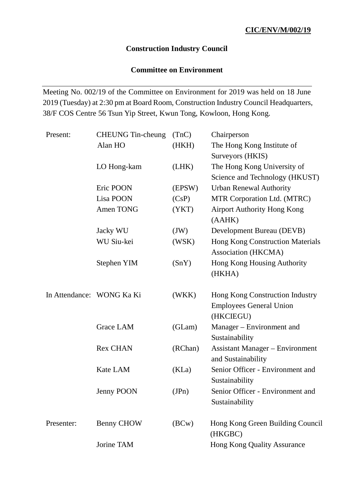## **Construction Industry Council**

## **Committee on Environment**

Meeting No. 002/19 of the Committee on Environment for 2019 was held on 18 June 2019 (Tuesday) at 2:30 pm at Board Room, Construction Industry Council Headquarters, 38/F COS Centre 56 Tsun Yip Street, Kwun Tong, Kowloon, Hong Kong.

| Present:                  | <b>CHEUNG</b> Tin-cheung | (TnC)   | Chairperson                                                                    |
|---------------------------|--------------------------|---------|--------------------------------------------------------------------------------|
|                           | Alan HO                  | (HKH)   | The Hong Kong Institute of                                                     |
|                           |                          |         | Surveyors (HKIS)                                                               |
|                           | LO Hong-kam              | (LHK)   | The Hong Kong University of                                                    |
|                           |                          |         | Science and Technology (HKUST)                                                 |
|                           | Eric POON                | (EPSW)  | <b>Urban Renewal Authority</b>                                                 |
|                           | Lisa POON                | (CsP)   | MTR Corporation Ltd. (MTRC)                                                    |
|                           | Amen TONG                | (YKT)   | <b>Airport Authority Hong Kong</b><br>(AAHK)                                   |
|                           | Jacky WU                 | (JW)    | Development Bureau (DEVB)                                                      |
|                           | WU Siu-kei               | (WSK)   | <b>Hong Kong Construction Materials</b><br>Association (HKCMA)                 |
|                           | Stephen YIM              | (SnY)   | Hong Kong Housing Authority                                                    |
|                           |                          |         | (HKHA)                                                                         |
| In Attendance: WONG Ka Ki |                          | (WKK)   | Hong Kong Construction Industry<br><b>Employees General Union</b><br>(HKCIEGU) |
|                           | Grace LAM                | (GLam)  | Manager – Environment and<br>Sustainability                                    |
|                           | <b>Rex CHAN</b>          | (RChan) | <b>Assistant Manager – Environment</b><br>and Sustainability                   |
|                           | Kate LAM                 | (KLa)   | Senior Officer - Environment and<br>Sustainability                             |
|                           | <b>Jenny POON</b>        | (JPn)   | Senior Officer - Environment and<br>Sustainability                             |
| Presenter:                | <b>Benny CHOW</b>        | (BCW)   | Hong Kong Green Building Council<br>(HKGBC)                                    |
|                           | Jorine TAM               |         | <b>Hong Kong Quality Assurance</b>                                             |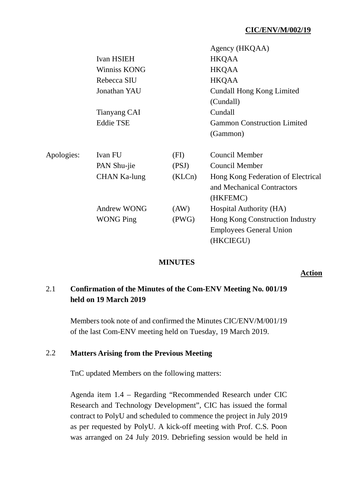|                     |        | Agency (HKQAA)                                                               |
|---------------------|--------|------------------------------------------------------------------------------|
| <b>Ivan HSIEH</b>   |        | <b>HKQAA</b>                                                                 |
| <b>Winniss KONG</b> |        | <b>HKQAA</b>                                                                 |
| Rebecca SIU         |        | <b>HKQAA</b>                                                                 |
| Jonathan YAU        |        | <b>Cundall Hong Kong Limited</b>                                             |
|                     |        | (Cundall)                                                                    |
| Tianyang CAI        |        | Cundall                                                                      |
| <b>Eddie TSE</b>    |        | <b>Gammon Construction Limited</b>                                           |
|                     |        | (Gammon)                                                                     |
| Ivan FU             | (FI)   | <b>Council Member</b>                                                        |
| PAN Shu-jie         | (PSJ)  | Council Member                                                               |
| CHAN Ka-lung        | (KLCn) | Hong Kong Federation of Electrical<br>and Mechanical Contractors<br>(HKFEMC) |
| <b>Andrew WONG</b>  | (AW)   | Hospital Authority (HA)                                                      |
| <b>WONG Ping</b>    | (PWG)  | Hong Kong Construction Industry                                              |
|                     |        | <b>Employees General Union</b>                                               |
|                     |        | (HKCIEGU)                                                                    |
|                     |        |                                                                              |

#### **MINUTES**

**Action**

# 2.1 **Confirmation of the Minutes of the Com-ENV Meeting No. 001/19 held on 19 March 2019**

Members took note of and confirmed the Minutes CIC/ENV/M/001/19 of the last Com-ENV meeting held on Tuesday, 19 March 2019.

### 2.2 **Matters Arising from the Previous Meeting**

TnC updated Members on the following matters:

Agenda item 1.4 – Regarding "Recommended Research under CIC Research and Technology Development", CIC has issued the formal contract to PolyU and scheduled to commence the project in July 2019 as per requested by PolyU. A kick-off meeting with Prof. C.S. Poon was arranged on 24 July 2019. Debriefing session would be held in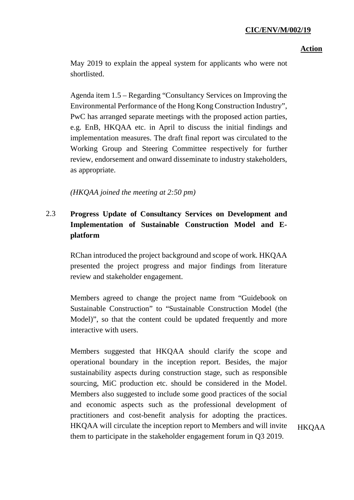#### **Action**

May 2019 to explain the appeal system for applicants who were not shortlisted.

Agenda item 1.5 – Regarding "Consultancy Services on Improving the Environmental Performance of the Hong Kong Construction Industry", PwC has arranged separate meetings with the proposed action parties, e.g. EnB, HKQAA etc. in April to discuss the initial findings and implementation measures. The draft final report was circulated to the Working Group and Steering Committee respectively for further review, endorsement and onward disseminate to industry stakeholders, as appropriate.

*(HKQAA joined the meeting at 2:50 pm)*

# 2.3 **Progress Update of Consultancy Services on Development and Implementation of Sustainable Construction Model and Eplatform**

RChan introduced the project background and scope of work. HKQAA presented the project progress and major findings from literature review and stakeholder engagement.

Members agreed to change the project name from "Guidebook on Sustainable Construction" to "Sustainable Construction Model (the Model)", so that the content could be updated frequently and more interactive with users.

Members suggested that HKQAA should clarify the scope and operational boundary in the inception report. Besides, the major sustainability aspects during construction stage, such as responsible sourcing, MiC production etc. should be considered in the Model. Members also suggested to include some good practices of the social and economic aspects such as the professional development of practitioners and cost-benefit analysis for adopting the practices. HKQAA will circulate the inception report to Members and will invite them to participate in the stakeholder engagement forum in Q3 2019.

HKQAA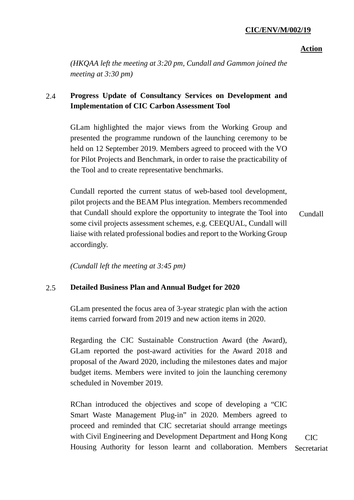#### **Action**

*(HKQAA left the meeting at 3:20 pm, Cundall and Gammon joined the meeting at 3:30 pm)*

## 2.4 **Progress Update of Consultancy Services on Development and Implementation of CIC Carbon Assessment Tool**

GLam highlighted the major views from the Working Group and presented the programme rundown of the launching ceremony to be held on 12 September 2019. Members agreed to proceed with the VO for Pilot Projects and Benchmark, in order to raise the practicability of the Tool and to create representative benchmarks.

Cundall reported the current status of web-based tool development, pilot projects and the BEAM Plus integration. Members recommended that Cundall should explore the opportunity to integrate the Tool into some civil projects assessment schemes, e.g. CEEQUAL, Cundall will liaise with related professional bodies and report to the Working Group accordingly. Cundall

*(Cundall left the meeting at 3:45 pm)*

## 2.5 **Detailed Business Plan and Annual Budget for 2020**

GLam presented the focus area of 3-year strategic plan with the action items carried forward from 2019 and new action items in 2020.

Regarding the CIC Sustainable Construction Award (the Award), GLam reported the post-award activities for the Award 2018 and proposal of the Award 2020, including the milestones dates and major budget items. Members were invited to join the launching ceremony scheduled in November 2019.

RChan introduced the objectives and scope of developing a "CIC Smart Waste Management Plug-in" in 2020. Members agreed to proceed and reminded that CIC secretariat should arrange meetings with Civil Engineering and Development Department and Hong Kong Housing Authority for lesson learnt and collaboration. Members

CIC Secretariat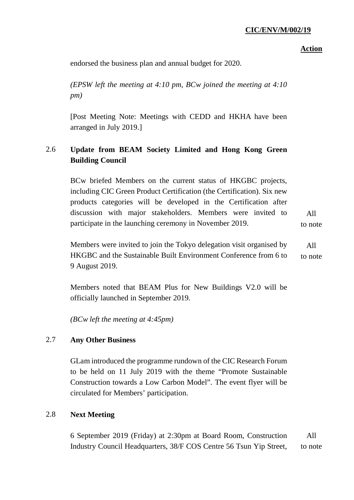### **Action**

endorsed the business plan and annual budget for 2020.

*(EPSW left the meeting at 4:10 pm, BCw joined the meeting at 4:10 pm)*

[Post Meeting Note: Meetings with CEDD and HKHA have been arranged in July 2019.]

# 2.6 **Update from BEAM Society Limited and Hong Kong Green Building Council**

BCw briefed Members on the current status of HKGBC projects, including CIC Green Product Certification (the Certification). Six new products categories will be developed in the Certification after discussion with major stakeholders. Members were invited to participate in the launching ceremony in November 2019. All

to note

Members were invited to join the Tokyo delegation visit organised by HKGBC and the Sustainable Built Environment Conference from 6 to 9 August 2019. All to note

Members noted that BEAM Plus for New Buildings V2.0 will be officially launched in September 2019.

*(BCw left the meeting at 4:45pm)*

## 2.7 **Any Other Business**

GLam introduced the programme rundown of the CIC Research Forum to be held on 11 July 2019 with the theme "Promote Sustainable Construction towards a Low Carbon Model". The event flyer will be circulated for Members' participation.

## 2.8 **Next Meeting**

6 September 2019 (Friday) at 2:30pm at Board Room, Construction Industry Council Headquarters, 38/F COS Centre 56 Tsun Yip Street, All to note